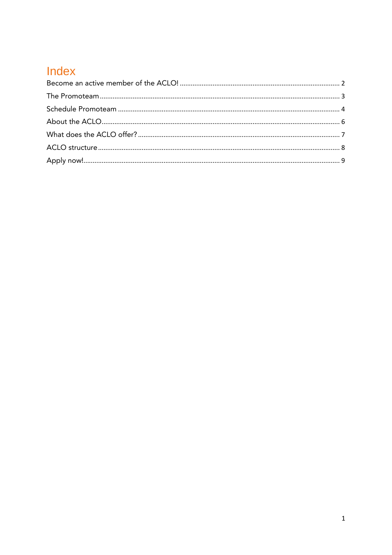## Index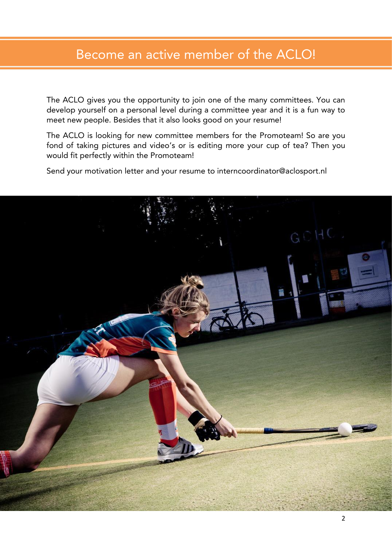## <span id="page-1-0"></span>Become an active member of the ACLO!

The ACLO gives you the opportunity to join one of the many committees. You can develop yourself on a personal level during a committee year and it is a fun way to meet new people. Besides that it also looks good on your resume! meet new people. Besides that it also looks good on your resume!

The ACLO is looking for new committee members for the Promoteam! So are you fond of taking pictures and video's or is editing more your cup of tea? Then you force of taking pressures and video's or is editing more your cup of tea? Then you with  $\frac{1}{2}$  perfectly within the Promotecut  $\frac{1}{2}$ 

Send your motivation letter and your resume to interncoordinator@aclosport.nl

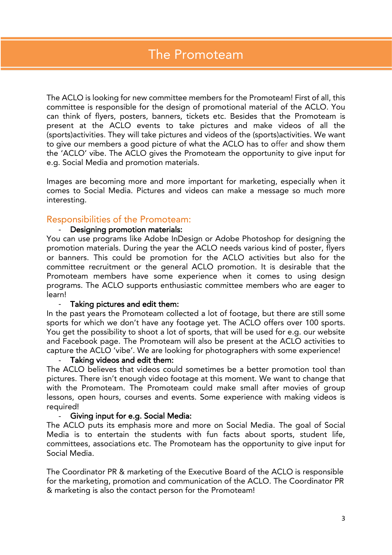# <span id="page-2-0"></span>The Promoteam

The ACLO is looking for new committee members for the Promoteam! First of all, this can think of flyers, posters, banners, tickets etc. Besides that the Promoteam is present at the ACLO events to take pictures and make videos of all the (sports) activities. They will take pictures and videos of the (sports) activities. We want to give our members a good picture of what the ACLO has to offer and show them the 'ACLO' vibe. The ACLO gives the Promoteam the opportunity to give input for e.g. Social Media and promotion materials. e.g. Social Media and promotion materials.

Images are becoming more and more important for manipulary, especially more is comes to Social Media. Pictures and videos can make a message so much more interesting.

## Responsibilities of the Promoteam:

You can use programs like Adobe InDesign or Adobe Photoshop for designing the promotion materials. During the year the ACLO needs various kind of poster, flyers or banners. This could be promotion for the ACLO activities but also for the committee recruitment or the general ACLO promotion. It is desirable that the Promoteam members have some experience when it comes to using design  $\frac{1}{2}$  members of  $\frac{1}{2}$  and  $\frac{1}{2}$  are  $\frac{1}{2}$  members who are experience who is a set to programs. The ACLO supports enthusiastic committee members who are eager to

### learn!

- Taking pictures and edit them:<br>In the past years the Promoteam collected a lot of footage, but there are still some sports for which we don't have any footage yet. The ACLO offers over 100 sports. You get the possibility to shoot a lot of sports, that will be used for e.g. our website and Facebook page. The Promoteam will also be present at the ACLO activities to capture the ACLO 'vibe'. We are looking for photographers with some experience!

### Taking videos and edit them:

The ACLO believes that videos could sometimes be a better promotion tool than pictures. There isn't enough video footage at this moment. We want to change that with the Promoteam. The Promoteam could make small after movies of group which the Promoteam. The Promoteam could make small after movies of group lessons, open hours, courses and events. Some experience with making videos is required!<br>- Giving input for e.g. Social Media:

The ACLO puts its emphasis more and more on Social Media. The goal of Social Media is to entertain the students with fun facts about sports, student life,  $M_{\rm c}$  is the students of the students with the students  $M_{\rm c}$  is the student function function function  $\frac{1}{2}$ committees, associations etc. The promotecommittees in put for give in put for the opportunity to give input for Social Media.

The Coordinator PR & marketing of the Executive Board of the ACLO is responsible for the manuscript, promotion and communication of the Propose PRO Coordinator PR.<br>& marketing is also the contact person for the Promoteaml & marketing is also the contact person for the Promoteam!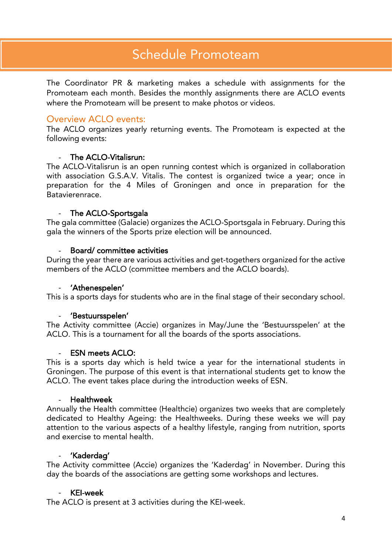### <span id="page-3-0"></span>**Schedule Promoteam** Schedule Promoteam

The Coordinator PR & marketing makes a schedule with assignments for the Promoteam each month. Besides the monthly assignments there are ACLO events  $\frac{1}{2}$  monthly assignments the monthly assignment of  $\frac{1}{2}$  and  $\frac{1}{2}$  events the monthly assignment of  $\frac{1}{2}$  events the monthly assignment of  $\frac{1}{2}$  events or  $\frac{1}{2}$  events or  $\frac{1}{2}$  events or  $\frac{1$ where the Promoteam will be present to make photos or videos.

### Overview ACLO events:

The ACLO organizes yearly returning events. The Promoteam is expected at the following events: following events:  $\frac{1}{2}$ 

### The ACLO-Vitalisrun:  $\mathbb{Z}^{\mathbb{Z}^{\times}}$

The ACLO-Vitalisrun is an open running contest which is organized in collaboration with association G.S.A.V. Vitalis. The contest is organized twice a year; once in preparation for the 4 Miles of Groningen and once in preparation for the Batavierenrace. Batavierenrace.

### ÷.

- The ACLO-Sportsgala<br>The gala committee (Galacie) organizes the ACLO-Sportsgala in February. During this gala the winners of the Sports prize election will be announced.  $\mathcal{G}$  the winners of the Sports prize election will be announced.

### Board/committee activities

During the year there are various activities and get-togethers organized for the active members of the ACLO (committee members and the ACLO boards). members of the ACLO (committee members and the ACLO boards).

**-** 'Athenespelen'<br>This is a sports days for students who are in the final stage of their secondary school. This is a sports days for students who are in the final stage of their secondary school.

- 'Bestuursspelen'<br>The Activity committee (Accie) organizes in May/June the 'Bestuursspelen' at the  $ACI$  This is a tournament for all the boards of the sports associations ACLO. This is a tournament for all the boards of the sports associations.

### **ESN meets ACLO:**

This is a sports day which is held twice a year for the international students in Groningen. The purpose of this event is that international students get to know the ACLO. The event takes place during the introduction weeks of ESN. ACLO. The event takes place during the introduction weeks of ESN.

- Healthweek<br>Annually the Health committee (Healthcie) organizes two weeks that are completely dedicated to Healthy Ageing: the Healthweeks. During these weeks we will pay attention to the various aspects of a healthy lifestyle, ranging from nutrition, sports and exercise to mental health. and exercise to mental health.

- 'Kaderdag'<br>The Activity committee (Accie) organizes the 'Kaderdag' in November. During this The Activity committee (Accie) organizes the 'Kaderdag' in Accientistic During the 'Kaderdag' in November. During the day the boards of the associations are getting some workshops and lectures.

### **KEI-week**

 $\Lambda$  CLO is pre The ACLO is present at 3 activities during the KEI-week.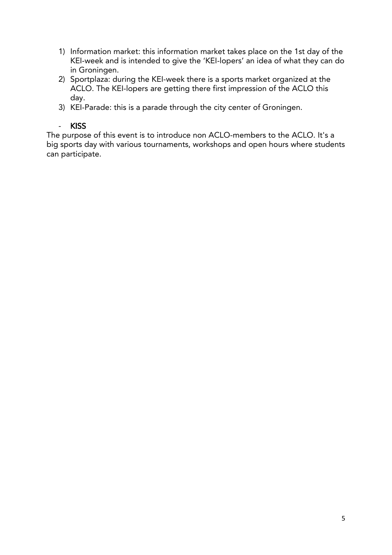- 1, Information matrix are information matrix takes place on the 1st day of the 1st day of the 1st day of the 1 in Groningen
- in Groningen.<br>2) Sportplaza: during the KEI-week there is a sports market organized at the  $2 \times 1$  Sports in the KEI-lopers are getting there first impression of the ACIO this ACLO. The KEI-lopers are getting there first impression of the ACLO this
- .<br>KFI-F  $\frac{3}{2}$

### $\omega_{\rm{eff}}$ **KISS**

The purpose of this event is to introduce non ACLO-members to the ACLO. It's a<br>big sports day with various tournaments, workshops and open hours where studer big sports day with various tournaments, workshops and open hours where students can participate.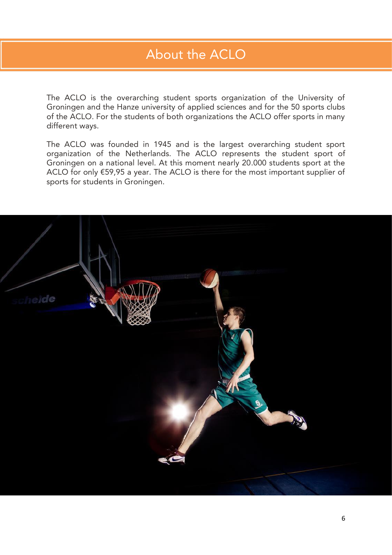# <span id="page-5-0"></span>About the ACLO

The ACLO is the overarching student sports organization of the University of Groningen and the Hanze university of applied sciences and for the 50 sports clubs  $\frac{1}{2}$  of the ACLO. For the students of both organizations the ACLO offer sports in many of the ACLO of the students of the students of the students of the ACLO of the ACLO of the ACLO of the ACLO of different ways.

The ACLO was founded in 1945 and is the largest overarching student sport organization of the Netherlands. The ACLO represents the student sport of Groningen on a national level. At this moment nearly 20.000 students sport at the ACLO for only  $E$ 59,95 a year. The ACLO is there for the most important supplier of  $\frac{1}{2}$  for students in Groningen sports for students in Groningen.

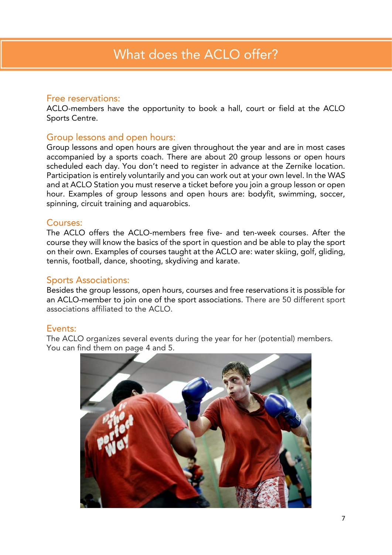<span id="page-6-0"></span>Free reservations:<br>ACLO-members have the opportunity to book a hall, court or field at the ACLO Sports Centre. Sports Centre.

Group lessons and open hours:<br>Group lessons and open hours are given throughout the year and are in most cases accompanied by a sports coach. There are about 20 group lessons or open hours scheduled each day. You don't need to register in advance at the Zernike location. Participation is entirely voluntarily and you can work out at your own level. In the WAS and at ACLO Station you must reserve a ticket before you join a group lesson or open. hour. Examples of group lessons and open hours are: bodyfit, swimming, soccer,  $\frac{1}{2}$  solution of  $\frac{1}{2}$  is a group of group  $\frac{1}{2}$  and  $\frac{1}{2}$  are: bodyfit, socialist  $\frac{1}{2}$  and  $\frac{1}{2}$  and  $\frac{1}{2}$  and  $\frac{1}{2}$  and  $\frac{1}{2}$  and  $\frac{1}{2}$  and  $\frac{1}{2}$  and  $\frac{1}{2}$  and  $\frac{1}{2}$  $s_p$  is circuit training and and aquarobic training and and aquarobic set of  $\mathcal{L}$ 

### Courses:

The ACLO offers the ACLO-members free five- and ten-week courses. After the course they will know the basics of the sport in question and be able to play the sport on their own. Examples of courses taught at the ACLO are: water skiing, golf, gliding, tennis football dance shooting skydiving and karate tennis, football, dance, shooting, skydiving and karate.

Sports Associations:<br>Besides the group lessons, open hours, courses and free reservations it is possible for an ACLO-member to join one of the sport associations. There are 50 different sport associations affiliated to the ACLO. associations affiliated to the ACLO.

### Events:

The ACLO organizes several events during the year for her (potential) members. The Accuracy organizes several events during the year for her (potential) members.<br>You can find them on page 4 and 5

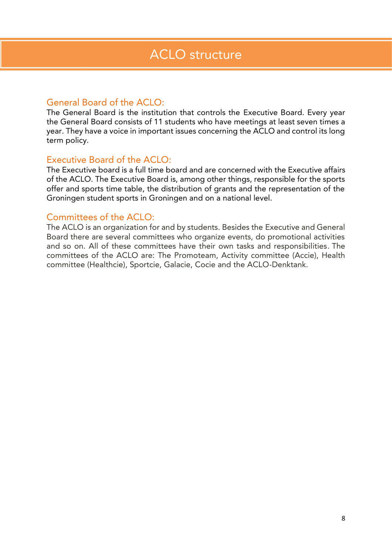### <span id="page-7-0"></span>General Board of the ACLO:

The General Board is the institution that controls the Executive Board. Every year the General Board consists of 11 students who have meetings at least seven times a the General Board consists of 11 statents who have meetings at least seven times at year. They have a voice in interest in input is long the ACLO and control its long is long the ACLO and control its long is long that it is long to the ACLO and control its long is long to the ACLO and control its long is term policy.

Executive Board of the ACLO:<br>The Executive board is a full time board and are concerned with the Executive affairs of the ACLO. The Executive Board is, among other things, responsible for the sports offer and sports time table, the distribution of grants and the representation of the of the distribution of the distribution of the distribution of the distribution of the representation of the r<br>Grants and the distribution of the representation of the distribution of the representation of the representati Groningen student sports in Groningen and on a national level.

Committees of the ACLO:<br>The ACLO is an organization for and by students. Besides the Executive and General Board there are several committees who organize events, do promotional activities and so on. All of these committees have their own tasks and responsibilities. The committees of the ACLO are: The Promoteam, Activity committee (Accie), Health  ${\sf committae}$  (Healthcia), Sportcie, Galacie, Cocie and the ACLO-Depktank committee (Healthcan), Sportcie, Galacie, Cocie and the ACLO-Denktank.